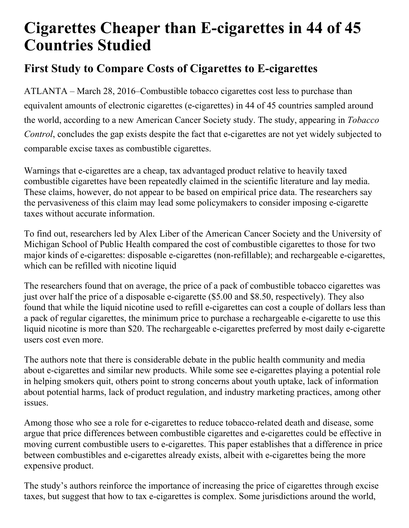## **Cigarettes Cheaper than E-cigarettes in 44 of 45 Countries Studied**

## **First Study to Compare Costs of Cigarettes to E-cigarettes**

ATLANTA – March 28, 2016–Combustible tobacco cigarettes cost less to purchase than equivalent amounts of electronic cigarettes (e-cigarettes) in 44 of 45 countries sampled around the world, according to a new American Cancer Society study. The study, appearing in *Tobacco Control*, concludes the gap exists despite the fact that e-cigarettes are not yet widely subjected to comparable excise taxes as combustible cigarettes.

Warnings that e-cigarettes are a cheap, tax advantaged product relative to heavily taxed combustible cigarettes have been repeatedly claimed in the scientific literature and lay media. These claims, however, do not appear to be based on empirical price data. The researchers say the pervasiveness of this claim may lead some policymakers to consider imposing e-cigarette taxes without accurate information.

To find out, researchers led by Alex Liber of the American Cancer Society and the University of Michigan School of Public Health compared the cost of combustible cigarettes to those for two major kinds of e-cigarettes: disposable e-cigarettes (non-refillable); and rechargeable e-cigarettes, which can be refilled with nicotine liquid

The researchers found that on average, the price of a pack of combustible tobacco cigarettes was just over half the price of a disposable e-cigarette (\$5.00 and \$8.50, respectively). They also found that while the liquid nicotine used to refill e-cigarettes can cost a couple of dollars less than a pack of regular cigarettes, the minimum price to purchase a rechargeable e-cigarette to use this liquid nicotine is more than \$20. The rechargeable e-cigarettes preferred by most daily e-cigarette users cost even more.

The authors note that there is considerable debate in the public health community and media about e-cigarettes and similar new products. While some see e-cigarettes playing a potential role in helping smokers quit, others point to strong concerns about youth uptake, lack of information about potential harms, lack of product regulation, and industry marketing practices, among other issues.

Among those who see a role for e-cigarettes to reduce tobacco-related death and disease, some argue that price differences between combustible cigarettes and e-cigarettes could be effective in moving current combustible users to e-cigarettes. This paper establishes that a difference in price between combustibles and e-cigarettes already exists, albeit with e-cigarettes being the more expensive product.

The study's authors reinforce the importance of increasing the price of cigarettes through excise taxes, but suggest that how to tax e-cigarettes is complex. Some jurisdictions around the world,